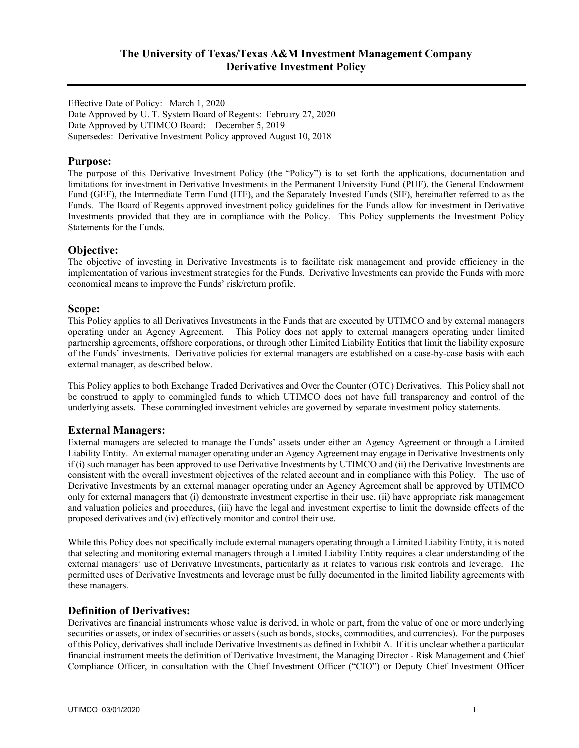Effective Date of Policy: March 1, 2020 Date Approved by U. T. System Board of Regents: February 27, 2020 Date Approved by UTIMCO Board: December 5, 2019 Supersedes: Derivative Investment Policy approved August 10, 2018

## **Purpose:**

The purpose of this Derivative Investment Policy (the "Policy") is to set forth the applications, documentation and limitations for investment in Derivative Investments in the Permanent University Fund (PUF), the General Endowment Fund (GEF), the Intermediate Term Fund (ITF), and the Separately Invested Funds (SIF), hereinafter referred to as the Funds. The Board of Regents approved investment policy guidelines for the Funds allow for investment in Derivative Investments provided that they are in compliance with the Policy. This Policy supplements the Investment Policy Statements for the Funds.

#### **Objective:**

The objective of investing in Derivative Investments is to facilitate risk management and provide efficiency in the implementation of various investment strategies for the Funds. Derivative Investments can provide the Funds with more economical means to improve the Funds' risk/return profile.

#### **Scope:**

This Policy applies to all Derivatives Investments in the Funds that are executed by UTIMCO and by external managers operating under an Agency Agreement. This Policy does not apply to external managers operating under limited partnership agreements, offshore corporations, or through other Limited Liability Entities that limit the liability exposure of the Funds' investments. Derivative policies for external managers are established on a case-by-case basis with each external manager, as described below.

This Policy applies to both Exchange Traded Derivatives and Over the Counter (OTC) Derivatives. This Policy shall not be construed to apply to commingled funds to which UTIMCO does not have full transparency and control of the underlying assets. These commingled investment vehicles are governed by separate investment policy statements.

## **External Managers:**

External managers are selected to manage the Funds' assets under either an Agency Agreement or through a Limited Liability Entity. An external manager operating under an Agency Agreement may engage in Derivative Investments only if (i) such manager has been approved to use Derivative Investments by UTIMCO and (ii) the Derivative Investments are consistent with the overall investment objectives of the related account and in compliance with this Policy. The use of Derivative Investments by an external manager operating under an Agency Agreement shall be approved by UTIMCO only for external managers that (i) demonstrate investment expertise in their use, (ii) have appropriate risk management and valuation policies and procedures, (iii) have the legal and investment expertise to limit the downside effects of the proposed derivatives and (iv) effectively monitor and control their use.

While this Policy does not specifically include external managers operating through a Limited Liability Entity, it is noted that selecting and monitoring external managers through a Limited Liability Entity requires a clear understanding of the external managers' use of Derivative Investments, particularly as it relates to various risk controls and leverage. The permitted uses of Derivative Investments and leverage must be fully documented in the limited liability agreements with these managers.

#### **Definition of Derivatives:**

Derivatives are financial instruments whose value is derived, in whole or part, from the value of one or more underlying securities or assets, or index of securities or assets (such as bonds, stocks, commodities, and currencies). For the purposes of this Policy, derivatives shall include Derivative Investments as defined in Exhibit A. If it is unclear whether a particular financial instrument meets the definition of Derivative Investment, the Managing Director - Risk Management and Chief Compliance Officer, in consultation with the Chief Investment Officer ("CIO") or Deputy Chief Investment Officer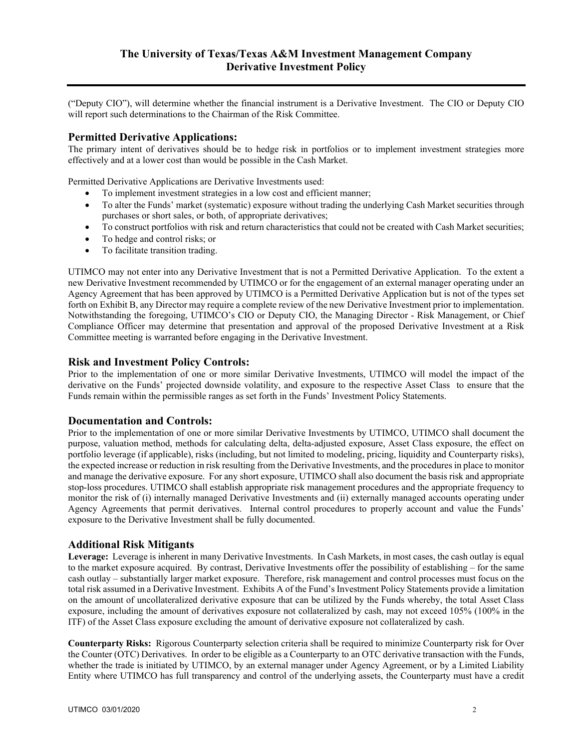("Deputy CIO"), will determine whether the financial instrument is a Derivative Investment. The CIO or Deputy CIO will report such determinations to the Chairman of the Risk Committee.

## **Permitted Derivative Applications:**

The primary intent of derivatives should be to hedge risk in portfolios or to implement investment strategies more effectively and at a lower cost than would be possible in the Cash Market.

Permitted Derivative Applications are Derivative Investments used:

- To implement investment strategies in a low cost and efficient manner;
- To alter the Funds' market (systematic) exposure without trading the underlying Cash Market securities through purchases or short sales, or both, of appropriate derivatives;
- To construct portfolios with risk and return characteristics that could not be created with Cash Market securities;
- To hedge and control risks; or
- To facilitate transition trading.

UTIMCO may not enter into any Derivative Investment that is not a Permitted Derivative Application. To the extent a new Derivative Investment recommended by UTIMCO or for the engagement of an external manager operating under an Agency Agreement that has been approved by UTIMCO is a Permitted Derivative Application but is not of the types set forth on Exhibit B, any Director may require a complete review of the new Derivative Investment prior to implementation. Notwithstanding the foregoing, UTIMCO's CIO or Deputy CIO, the Managing Director - Risk Management, or Chief Compliance Officer may determine that presentation and approval of the proposed Derivative Investment at a Risk Committee meeting is warranted before engaging in the Derivative Investment.

#### **Risk and Investment Policy Controls:**

Prior to the implementation of one or more similar Derivative Investments, UTIMCO will model the impact of the derivative on the Funds' projected downside volatility, and exposure to the respective Asset Class to ensure that the Funds remain within the permissible ranges as set forth in the Funds' Investment Policy Statements.

#### **Documentation and Controls:**

Prior to the implementation of one or more similar Derivative Investments by UTIMCO, UTIMCO shall document the purpose, valuation method, methods for calculating delta, delta-adjusted exposure, Asset Class exposure, the effect on portfolio leverage (if applicable), risks (including, but not limited to modeling, pricing, liquidity and Counterparty risks), the expected increase or reduction in risk resulting from the Derivative Investments, and the procedures in place to monitor and manage the derivative exposure. For any short exposure, UTIMCO shall also document the basis risk and appropriate stop-loss procedures. UTIMCO shall establish appropriate risk management procedures and the appropriate frequency to monitor the risk of (i) internally managed Derivative Investments and (ii) externally managed accounts operating under Agency Agreements that permit derivatives. Internal control procedures to properly account and value the Funds' exposure to the Derivative Investment shall be fully documented.

## **Additional Risk Mitigants**

**Leverage:** Leverage is inherent in many Derivative Investments. In Cash Markets, in most cases, the cash outlay is equal to the market exposure acquired. By contrast, Derivative Investments offer the possibility of establishing – for the same cash outlay – substantially larger market exposure. Therefore, risk management and control processes must focus on the total risk assumed in a Derivative Investment. Exhibits A of the Fund's Investment Policy Statements provide a limitation on the amount of uncollateralized derivative exposure that can be utilized by the Funds whereby, the total Asset Class exposure, including the amount of derivatives exposure not collateralized by cash, may not exceed 105% (100% in the ITF) of the Asset Class exposure excluding the amount of derivative exposure not collateralized by cash.

**Counterparty Risks:** Rigorous Counterparty selection criteria shall be required to minimize Counterparty risk for Over the Counter (OTC) Derivatives. In order to be eligible as a Counterparty to an OTC derivative transaction with the Funds, whether the trade is initiated by UTIMCO, by an external manager under Agency Agreement, or by a Limited Liability Entity where UTIMCO has full transparency and control of the underlying assets, the Counterparty must have a credit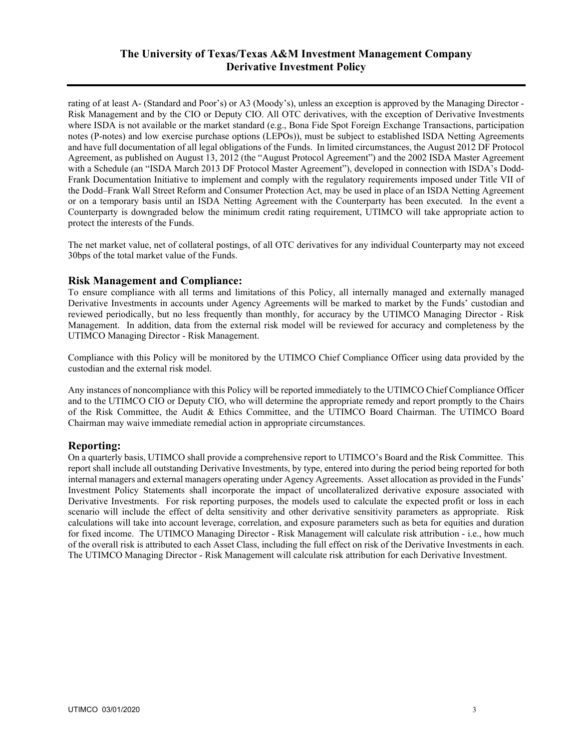# **The University of Texas/Texas A&M Investment Management Company Derivative Investment Policy**

rating of at least A- (Standard and Poor's) or A3 (Moody's), unless an exception is approved by the Managing Director - Risk Management and by the CIO or Deputy CIO. All OTC derivatives, with the exception of Derivative Investments where ISDA is not available or the market standard (e.g., Bona Fide Spot Foreign Exchange Transactions, participation notes (P-notes) and low exercise purchase options (LEPOs)), must be subject to established ISDA Netting Agreements and have full documentation of all legal obligations of the Funds. In limited circumstances, the August 2012 DF Protocol Agreement, as published on August 13, 2012 (the "August Protocol Agreement") and the 2002 ISDA Master Agreement with a Schedule (an "ISDA March 2013 DF Protocol Master Agreement"), developed in connection with ISDA's Dodd-Frank Documentation Initiative to implement and comply with the regulatory requirements imposed under Title VII of the Dodd–Frank Wall Street Reform and Consumer Protection Act, may be used in place of an ISDA Netting Agreement or on a temporary basis until an ISDA Netting Agreement with the Counterparty has been executed. In the event a Counterparty is downgraded below the minimum credit rating requirement, UTIMCO will take appropriate action to protect the interests of the Funds.

The net market value, net of collateral postings, of all OTC derivatives for any individual Counterparty may not exceed 30bps of the total market value of the Funds.

#### **Risk Management and Compliance:**

To ensure compliance with all terms and limitations of this Policy, all internally managed and externally managed Derivative Investments in accounts under Agency Agreements will be marked to market by the Funds' custodian and reviewed periodically, but no less frequently than monthly, for accuracy by the UTIMCO Managing Director - Risk Management. In addition, data from the external risk model will be reviewed for accuracy and completeness by the UTIMCO Managing Director - Risk Management.

Compliance with this Policy will be monitored by the UTIMCO Chief Compliance Officer using data provided by the custodian and the external risk model.

Any instances of noncompliance with this Policy will be reported immediately to the UTIMCO Chief Compliance Officer and to the UTIMCO CIO or Deputy CIO, who will determine the appropriate remedy and report promptly to the Chairs of the Risk Committee, the Audit & Ethics Committee, and the UTIMCO Board Chairman. The UTIMCO Board Chairman may waive immediate remedial action in appropriate circumstances.

## **Reporting:**

On a quarterly basis, UTIMCO shall provide a comprehensive report to UTIMCO's Board and the Risk Committee. This report shall include all outstanding Derivative Investments, by type, entered into during the period being reported for both internal managers and external managers operating under Agency Agreements. Asset allocation as provided in the Funds' Investment Policy Statements shall incorporate the impact of uncollateralized derivative exposure associated with Derivative Investments. For risk reporting purposes, the models used to calculate the expected profit or loss in each scenario will include the effect of delta sensitivity and other derivative sensitivity parameters as appropriate. Risk calculations will take into account leverage, correlation, and exposure parameters such as beta for equities and duration for fixed income. The UTIMCO Managing Director - Risk Management will calculate risk attribution - i.e., how much of the overall risk is attributed to each Asset Class, including the full effect on risk of the Derivative Investments in each. The UTIMCO Managing Director - Risk Management will calculate risk attribution for each Derivative Investment.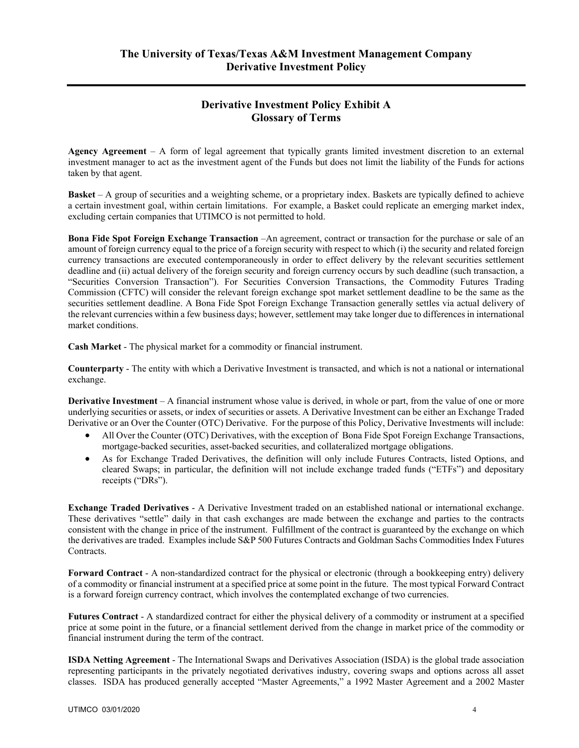# **Derivative Investment Policy Exhibit A Glossary of Terms**

**Agency Agreement** – A form of legal agreement that typically grants limited investment discretion to an external investment manager to act as the investment agent of the Funds but does not limit the liability of the Funds for actions taken by that agent.

**Basket** – A group of securities and a weighting scheme, or a proprietary index. Baskets are typically defined to achieve a certain investment goal, within certain limitations. For example, a Basket could replicate an emerging market index, excluding certain companies that UTIMCO is not permitted to hold.

**Bona Fide Spot Foreign Exchange Transaction** –An agreement, contract or transaction for the purchase or sale of an amount of foreign currency equal to the price of a foreign security with respect to which (i) the security and related foreign currency transactions are executed contemporaneously in order to effect delivery by the relevant securities settlement deadline and (ii) actual delivery of the foreign security and foreign currency occurs by such deadline (such transaction, a "Securities Conversion Transaction"). For Securities Conversion Transactions, the Commodity Futures Trading Commission (CFTC) will consider the relevant foreign exchange spot market settlement deadline to be the same as the securities settlement deadline. A Bona Fide Spot Foreign Exchange Transaction generally settles via actual delivery of the relevant currencies within a few business days; however, settlement may take longer due to differences in international market conditions.

**Cash Market** - The physical market for a commodity or financial instrument.

**Counterparty** - The entity with which a Derivative Investment is transacted, and which is not a national or international exchange.

**Derivative Investment** – A financial instrument whose value is derived, in whole or part, from the value of one or more underlying securities or assets, or index of securities or assets. A Derivative Investment can be either an Exchange Traded Derivative or an Over the Counter (OTC) Derivative. For the purpose of this Policy, Derivative Investments will include:

- All Over the Counter (OTC) Derivatives, with the exception of Bona Fide Spot Foreign Exchange Transactions, mortgage-backed securities, asset-backed securities, and collateralized mortgage obligations.
- As for Exchange Traded Derivatives, the definition will only include Futures Contracts, listed Options, and cleared Swaps; in particular, the definition will not include exchange traded funds ("ETFs") and depositary receipts ("DRs").

**Exchange Traded Derivatives** - A Derivative Investment traded on an established national or international exchange. These derivatives "settle" daily in that cash exchanges are made between the exchange and parties to the contracts consistent with the change in price of the instrument. Fulfillment of the contract is guaranteed by the exchange on which the derivatives are traded. Examples include S&P 500 Futures Contracts and Goldman Sachs Commodities Index Futures Contracts.

**Forward Contract** - A non-standardized contract for the physical or electronic (through a bookkeeping entry) delivery of a commodity or financial instrument at a specified price at some point in the future. The most typical Forward Contract is a forward foreign currency contract, which involves the contemplated exchange of two currencies.

**Futures Contract** - A standardized contract for either the physical delivery of a commodity or instrument at a specified price at some point in the future, or a financial settlement derived from the change in market price of the commodity or financial instrument during the term of the contract.

**ISDA Netting Agreement** - The International Swaps and Derivatives Association (ISDA) is the global trade association representing participants in the privately negotiated derivatives industry, covering swaps and options across all asset classes. ISDA has produced generally accepted "Master Agreements," a 1992 Master Agreement and a 2002 Master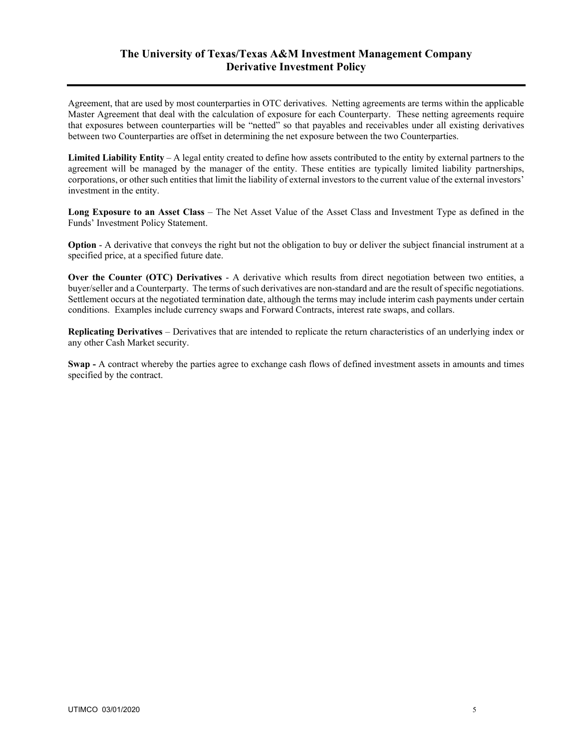## **The University of Texas/Texas A&M Investment Management Company Derivative Investment Policy**

Agreement, that are used by most counterparties in OTC derivatives. Netting agreements are terms within the applicable Master Agreement that deal with the calculation of exposure for each Counterparty. These netting agreements require that exposures between counterparties will be "netted" so that payables and receivables under all existing derivatives between two Counterparties are offset in determining the net exposure between the two Counterparties.

**Limited Liability Entity** – A legal entity created to define how assets contributed to the entity by external partners to the agreement will be managed by the manager of the entity. These entities are typically limited liability partnerships, corporations, or other such entities that limit the liability of external investors to the current value of the external investors' investment in the entity.

**Long Exposure to an Asset Class** – The Net Asset Value of the Asset Class and Investment Type as defined in the Funds' Investment Policy Statement.

**Option** - A derivative that conveys the right but not the obligation to buy or deliver the subject financial instrument at a specified price, at a specified future date.

**Over the Counter (OTC) Derivatives** - A derivative which results from direct negotiation between two entities, a buyer/seller and a Counterparty. The terms of such derivatives are non-standard and are the result of specific negotiations. Settlement occurs at the negotiated termination date, although the terms may include interim cash payments under certain conditions. Examples include currency swaps and Forward Contracts, interest rate swaps, and collars.

**Replicating Derivatives** – Derivatives that are intended to replicate the return characteristics of an underlying index or any other Cash Market security.

**Swap -** A contract whereby the parties agree to exchange cash flows of defined investment assets in amounts and times specified by the contract.